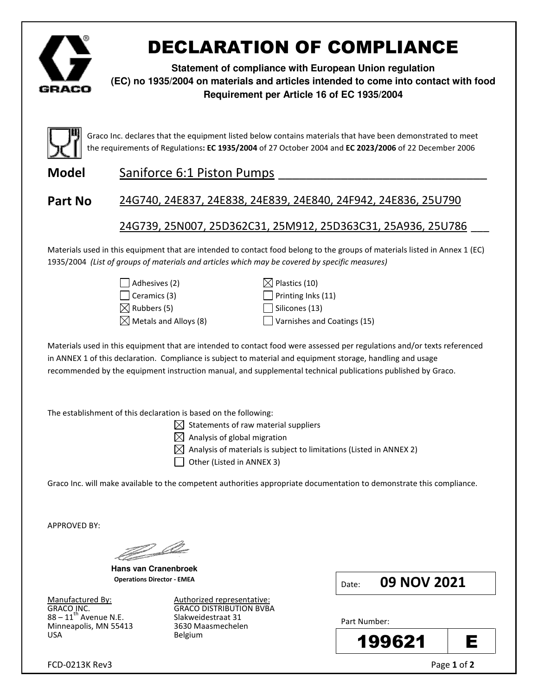

# DECLARATION OF COMPLIANCE

**Statement of compliance with European Union regulation (EC) no 1935/2004 on materials and articles intended to come into contact with food Requirement per Article 16 of EC 1935/2004**



Graco Inc. declares that the equipment listed below contains materials that have been demonstrated to meet the requirements of Regulations: EC 1935/2004 of 27 October 2004 and EC 2023/2006 of 22 December 2006

Model Saniforce 6:1 Piston Pumps

### Part No 24G740, 24E837, 24E838, 24E839, 24E840, 24F942, 24E836, 25U790

### 24G739, 25N007, 25D362C31, 25M912, 25D363C31, 25A936, 25U786 \_\_\_

Materials used in this equipment that are intended to contact food belong to the groups of materials listed in Annex 1 (EC) 1935/2004 (List of groups of materials and articles which may be covered by specific measures)



 $\boxtimes$  Metals and Alloys (8)  $\Box$  Varnishes and Coatings (15)

Materials used in this equipment that are intended to contact food were assessed per regulations and/or texts referenced in ANNEX 1 of this declaration. Compliance is subject to material and equipment storage, handling and usage recommended by the equipment instruction manual, and supplemental technical publications published by Graco.

The establishment of this declaration is based on the following:

 $\boxtimes$  Statements of raw material suppliers

 $\boxtimes$  Analysis of global migration

 $\boxtimes$  Analysis of materials is subject to limitations (Listed in ANNEX 2)

 $\Box$  Other (Listed in ANNEX 3)

Graco Inc. will make available to the competent authorities appropriate documentation to demonstrate this compliance.

APPROVED BY:

<u>Jan Shor</u>

**Hans van Cranenbroek**  Operations Director - EMEA

 $88 - 11^{th}$  Avenue N.E. Minneapolis, MN 55413 3630 Maasmechelen USA Belgium

Manufactured By: Authorized representative: GRACO INC.<br>88 – 11<sup>th</sup> Avenue N.E. Slakweidestraat 31 Date: 09 NOV 2021

Part Number: